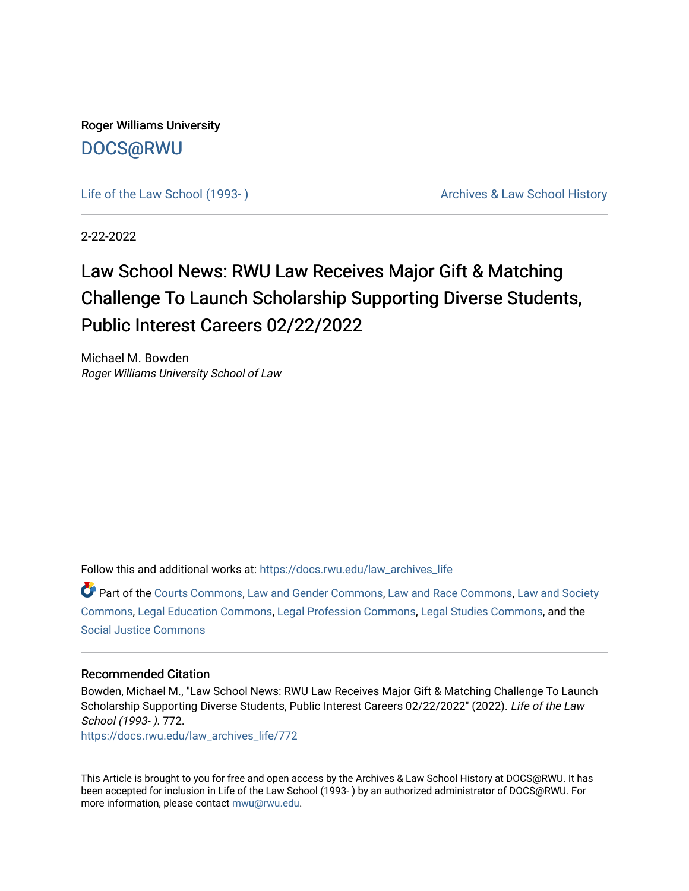Roger Williams University [DOCS@RWU](https://docs.rwu.edu/)

Life of the Law School (1993-) Cases Archives & Law School History

2-22-2022

## Law School News: RWU Law Receives Major Gift & Matching Challenge To Launch Scholarship Supporting Diverse Students, Public Interest Careers 02/22/2022

Michael M. Bowden Roger Williams University School of Law

Follow this and additional works at: [https://docs.rwu.edu/law\\_archives\\_life](https://docs.rwu.edu/law_archives_life?utm_source=docs.rwu.edu%2Flaw_archives_life%2F772&utm_medium=PDF&utm_campaign=PDFCoverPages)

Part of the [Courts Commons,](http://network.bepress.com/hgg/discipline/839?utm_source=docs.rwu.edu%2Flaw_archives_life%2F772&utm_medium=PDF&utm_campaign=PDFCoverPages) [Law and Gender Commons](http://network.bepress.com/hgg/discipline/1298?utm_source=docs.rwu.edu%2Flaw_archives_life%2F772&utm_medium=PDF&utm_campaign=PDFCoverPages), [Law and Race Commons,](http://network.bepress.com/hgg/discipline/1300?utm_source=docs.rwu.edu%2Flaw_archives_life%2F772&utm_medium=PDF&utm_campaign=PDFCoverPages) [Law and Society](http://network.bepress.com/hgg/discipline/853?utm_source=docs.rwu.edu%2Flaw_archives_life%2F772&utm_medium=PDF&utm_campaign=PDFCoverPages) [Commons](http://network.bepress.com/hgg/discipline/853?utm_source=docs.rwu.edu%2Flaw_archives_life%2F772&utm_medium=PDF&utm_campaign=PDFCoverPages), [Legal Education Commons](http://network.bepress.com/hgg/discipline/857?utm_source=docs.rwu.edu%2Flaw_archives_life%2F772&utm_medium=PDF&utm_campaign=PDFCoverPages), [Legal Profession Commons,](http://network.bepress.com/hgg/discipline/1075?utm_source=docs.rwu.edu%2Flaw_archives_life%2F772&utm_medium=PDF&utm_campaign=PDFCoverPages) [Legal Studies Commons,](http://network.bepress.com/hgg/discipline/366?utm_source=docs.rwu.edu%2Flaw_archives_life%2F772&utm_medium=PDF&utm_campaign=PDFCoverPages) and the [Social Justice Commons](http://network.bepress.com/hgg/discipline/1432?utm_source=docs.rwu.edu%2Flaw_archives_life%2F772&utm_medium=PDF&utm_campaign=PDFCoverPages) 

## Recommended Citation

Bowden, Michael M., "Law School News: RWU Law Receives Major Gift & Matching Challenge To Launch Scholarship Supporting Diverse Students, Public Interest Careers 02/22/2022" (2022). Life of the Law School (1993- ). 772.

[https://docs.rwu.edu/law\\_archives\\_life/772](https://docs.rwu.edu/law_archives_life/772?utm_source=docs.rwu.edu%2Flaw_archives_life%2F772&utm_medium=PDF&utm_campaign=PDFCoverPages)

This Article is brought to you for free and open access by the Archives & Law School History at DOCS@RWU. It has been accepted for inclusion in Life of the Law School (1993- ) by an authorized administrator of DOCS@RWU. For more information, please contact [mwu@rwu.edu](mailto:mwu@rwu.edu).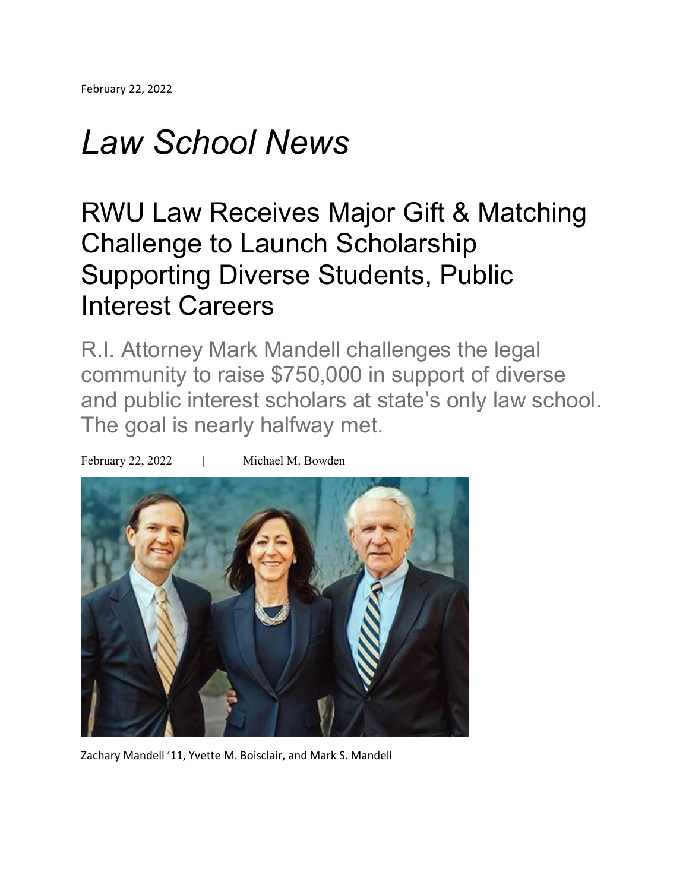## *Law School News*

## RWU Law Receives Major Gift & Matching Challenge to Launch Scholarship Supporting Diverse Students, Public Interest Careers

R.I. Attorney Mark Mandell challenges the legal community to raise \$750,000 in support of diverse and public interest scholars at state's only law school. The goal is nearly halfway met.



February 22, 2022 | Michael M. Bowden

Zachary Mandell '11, Yvette M. Boisclair, and Mark S. Mandell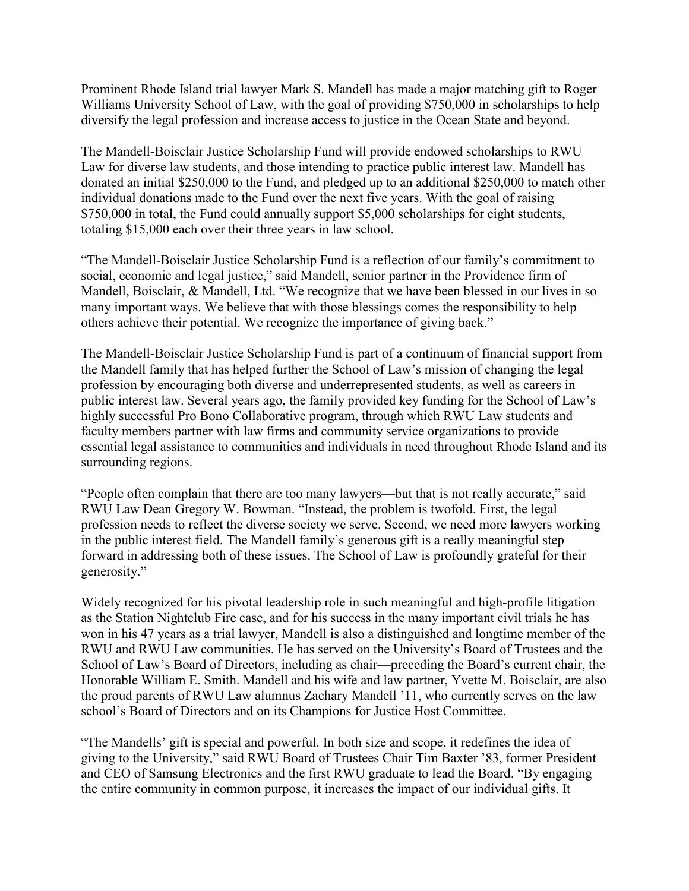Prominent Rhode Island trial lawyer Mark S. Mandell has made a major matching gift to Roger Williams University School of Law, with the goal of providing \$750,000 in scholarships to help diversify the legal profession and increase access to justice in the Ocean State and beyond.

The Mandell-Boisclair Justice Scholarship Fund will provide endowed scholarships to RWU Law for diverse law students, and those intending to practice public interest law. Mandell has donated an initial \$250,000 to the Fund, and pledged up to an additional \$250,000 to match other individual donations made to the Fund over the next five years. With the goal of raising \$750,000 in total, the Fund could annually support \$5,000 scholarships for eight students, totaling \$15,000 each over their three years in law school.

"The Mandell-Boisclair Justice Scholarship Fund is a reflection of our family's commitment to social, economic and legal justice," said Mandell, senior partner in the Providence firm of Mandell, Boisclair, & Mandell, Ltd. "We recognize that we have been blessed in our lives in so many important ways. We believe that with those blessings comes the responsibility to help others achieve their potential. We recognize the importance of giving back."

The Mandell-Boisclair Justice Scholarship Fund is part of a continuum of financial support from the Mandell family that has helped further the School of Law's mission of changing the legal profession by encouraging both diverse and underrepresented students, as well as careers in public interest law. Several years ago, the family provided key funding for the School of Law's highly successful Pro Bono Collaborative program, through which RWU Law students and faculty members partner with law firms and community service organizations to provide essential legal assistance to communities and individuals in need throughout Rhode Island and its surrounding regions.

"People often complain that there are too many lawyers—but that is not really accurate," said RWU Law Dean Gregory W. Bowman. "Instead, the problem is twofold. First, the legal profession needs to reflect the diverse society we serve. Second, we need more lawyers working in the public interest field. The Mandell family's generous gift is a really meaningful step forward in addressing both of these issues. The School of Law is profoundly grateful for their generosity."

Widely recognized for his pivotal leadership role in such meaningful and high-profile litigation as the Station Nightclub Fire case, and for his success in the many important civil trials he has won in his 47 years as a trial lawyer, Mandell is also a distinguished and longtime member of the RWU and RWU Law communities. He has served on the University's Board of Trustees and the School of Law's Board of Directors, including as chair—preceding the Board's current chair, the Honorable William E. Smith. Mandell and his wife and law partner, Yvette M. Boisclair, are also the proud parents of RWU Law alumnus Zachary Mandell '11, who currently serves on the law school's Board of Directors and on its Champions for Justice Host Committee.

"The Mandells' gift is special and powerful. In both size and scope, it redefines the idea of giving to the University," said RWU Board of Trustees Chair Tim Baxter '83, former President and CEO of Samsung Electronics and the first RWU graduate to lead the Board. "By engaging the entire community in common purpose, it increases the impact of our individual gifts. It